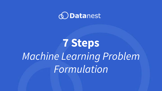

## **7 Steps** *Machine Learning Problem Formulation*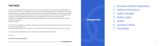- 1. Business Problem Statement
- 2. Define Unit Analysis
- 3. Define Variable
- 4. Define Label
- 5. Action
- 6. Success Criteria
- 7. Threshold

#### **Component**

#### **THƯ NGỎ**

Trang điện tử Hướng nghiệp 4.0 (huongnghiep40.vn) ra đời với mục đích góp phần vào công cuộc định hướng nghề nghiệp cho các bạn học sinh THPT và sinh viên Việt Nam, trong bối cảnh cuộc Cách mạng công nghiệp 4.0 đã và đang bùng nổ mạnh mẽ hơn bao giờ hết. Bằng việc cung cấp những thông tin đa chiều, thiết thực và bổ ích về các ngành nghề có sức nóng và tiềm năng phát triển bền vững trong tương lai dài hạn thông qua các tin tức tổng hợp cùng những góc nhìn sâu rộng của các chuyên gia uy tín ở nhiều lĩnh vực như hướng nghiệp, khởi nghiệp, giáo dục, công nghệ thông tin, kinh tế, xã hội, tài chính ngân hàng…, trang điện tử huongnghiep40.vn được kỳ vọng sẽ mang đến những kiến thức nền tảng hữu ích về các ngành nghề trong xã hội cũng như thị trường nhân lực Việt Nam và thế giới.

Trang điện tử huongnghiep40.vn cam kết được xây dựng và phát triển với mục đích hoàn toàn phi lợi nhuận. Tất cả các bài viết và ebook được tổng hợp, đăng tải và chia sẻ tại đây đều có thể xem và tải về miễn phí, với mục đích góp thêm những cơ hội làm giàu kiến thức cho tất cả mọi người.

Chúc bạn đọc có được những thông tin bổ ích và định hướng nghề nghiệp đúng đắn cho tương lai.

Trân trong,

*Ban biên tập website huongnghiep40.vn*

**huongnghiep40.vn**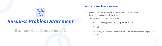### *Business Problem Statement*

**Business Case Component #1**

#### **Business Problem Statement**

- State a predictive problem to improve client business value.
- Know the impact of predictive result.
- This is should be in design challenge

How might we (goals) so that (impact/outcome)?

Example:

How to target promotion or offer to potential customer based on previous



customer?

### $(+)$  $0<sub>0</sub>$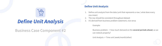### *Define Unit Analysis*

 $\sqrt{+1}$ 

 $0<sub>0</sub>$ 

**Business Case Component #2**

#### **Define Unit Analysis**

1. Define unit analysis from the data (unit that represents a row / what does every



- row mean)
- The row should be consistent throughout dataset
- 3. It's derived from business problem statement, vice versa
	- Example:
	- Business problem > how much demand on the **several periods ahead**, so we can restock properly?
	- Unit Analysis -> Time unit (week/month/other)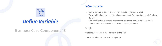### *Define Variable*

#### **Business Case Component #3**

#### **Define Variable**

- Define variable (column) that will be needed for predict the label - The variable should be consistent in measurement (Example: Currency is Rupiah or
- Dollar?)
- The variable should be consistent in specifications (Example: NPWP or KTP?) - Variable should be associated with unit analysis, vice versa
- 

Example:



- What kind of product that customer might to buy?
- Variable : Product pair, Order ID, Frequency

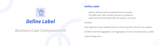### *Define Label*

### **Business Case Component #4**

#### **Define Label**

- Define Label that will be predicted from the variable
- The label came after variable, because it's predictive
- Label should be associated with unit analysis, vice versa

Example:

- How might we choose Supplier/Vendor so that we get fair price for new supplier?
- Variable: Lead time (aggregate), cost (aggregate), services, insurance policy, profile



Label: Average price

# $0<sub>o</sub>$

 $\mathcal{A}$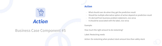### *Action*

### **Business Case Component #5**

#### **Action**

- What should user do when they get the prediction result
- Should be multiple alternative option of action depend on prediction result
- It's derived from business problem statement, vice versa
- It should be associated with the label, vice versa

Example:

Label: Restocking needs



- How much the right amount to do restocking?
	-
- Action: Do restocking when product stock amount less than safety stock

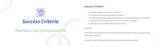## *Success Criteria*

 $0<sub>0</sub>$ 

#### **Business Case Component #6**





#### **Success Criteria**

- Should be either minimize or maximize
- It's should be derived by statistical criteria
- The statistical criteria should be linearly correlated with business impact
- If represent by money, human resources or time, it's better
- It should be associated with label, vice versa

Example:

When does the right time to do restocking for particular product and particular distribution center?

Success Criteria: Minimize understock & overstock phenomenon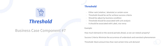### *Threshold*

### **Business Case Component #7**

#### **Threshold**

- Either rank (relative / absolute) or certain score
- Threshold should be set for achieve success criteria
- Should be adjust by business condition
- Threshold should be associated with unit analysis
- It should be associated with Label, vice versa

Example:



- How much demand on the several periods ahead, so we can restock properly?
- Success Criteria: Minimize the occurrence of understock and overstock phenomenon
- Threshold: Stock amount less than next certain time unit demand